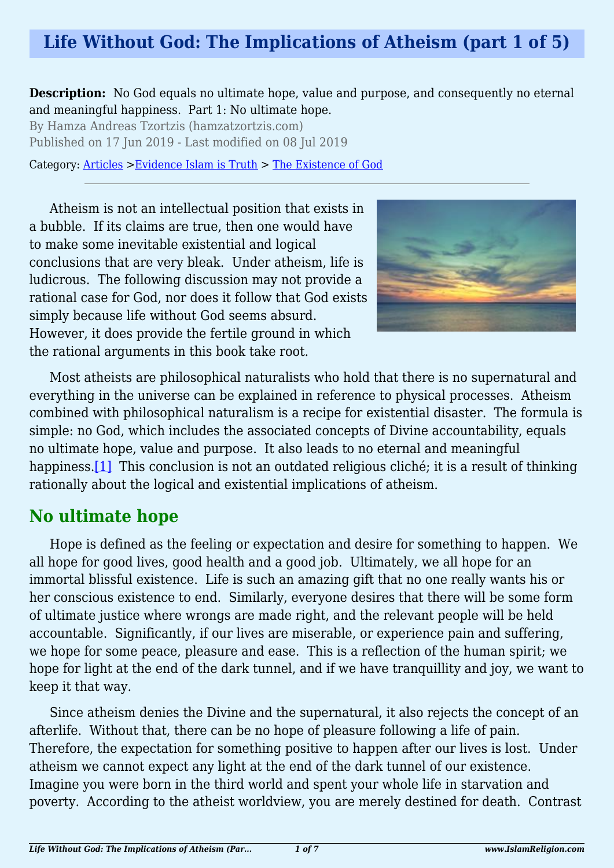# **Life Without God: The Implications of Atheism (part 1 of 5)**

**Description:** No God equals no ultimate hope, value and purpose, and consequently no eternal and meaningful happiness. Part 1: No ultimate hope.

By Hamza Andreas Tzortzis (hamzatzortzis.com) Published on 17 Jun 2019 - Last modified on 08 Jul 2019

Category: [Articles](http://www.islamreligion.com/articles/) >[Evidence Islam is Truth](http://www.islamreligion.com/category/33/) > [The Existence of God](http://www.islamreligion.com/category/39/)

Atheism is not an intellectual position that exists in a bubble. If its claims are true, then one would have to make some inevitable existential and logical conclusions that are very bleak. Under atheism, life is ludicrous. The following discussion may not provide a rational case for God, nor does it follow that God exists simply because life without God seems absurd. However, it does provide the fertile ground in which the rational arguments in this book take root.



Most atheists are philosophical naturalists who hold that there is no supernatural and everything in the universe can be explained in reference to physical processes. Atheism combined with philosophical naturalism is a recipe for existential disaster. The formula is simple: no God, which includes the associated concepts of Divine accountability, equals no ultimate hope, value and purpose. It also leads to no eternal and meaningful happiness.<sup>[\[1\]](#page-2-0)</sup> This conclusion is not an outdated religious cliché; it is a result of thinking rationally about the logical and existential implications of atheism.

## <span id="page-0-0"></span>**No ultimate hope**

Hope is defined as the feeling or expectation and desire for something to happen. We all hope for good lives, good health and a good job. Ultimately, we all hope for an immortal blissful existence. Life is such an amazing gift that no one really wants his or her conscious existence to end. Similarly, everyone desires that there will be some form of ultimate justice where wrongs are made right, and the relevant people will be held accountable. Significantly, if our lives are miserable, or experience pain and suffering, we hope for some peace, pleasure and ease. This is a reflection of the human spirit; we hope for light at the end of the dark tunnel, and if we have tranquillity and joy, we want to keep it that way.

Since atheism denies the Divine and the supernatural, it also rejects the concept of an afterlife. Without that, there can be no hope of pleasure following a life of pain. Therefore, the expectation for something positive to happen after our lives is lost. Under atheism we cannot expect any light at the end of the dark tunnel of our existence. Imagine you were born in the third world and spent your whole life in starvation and poverty. According to the atheist worldview, you are merely destined for death. Contrast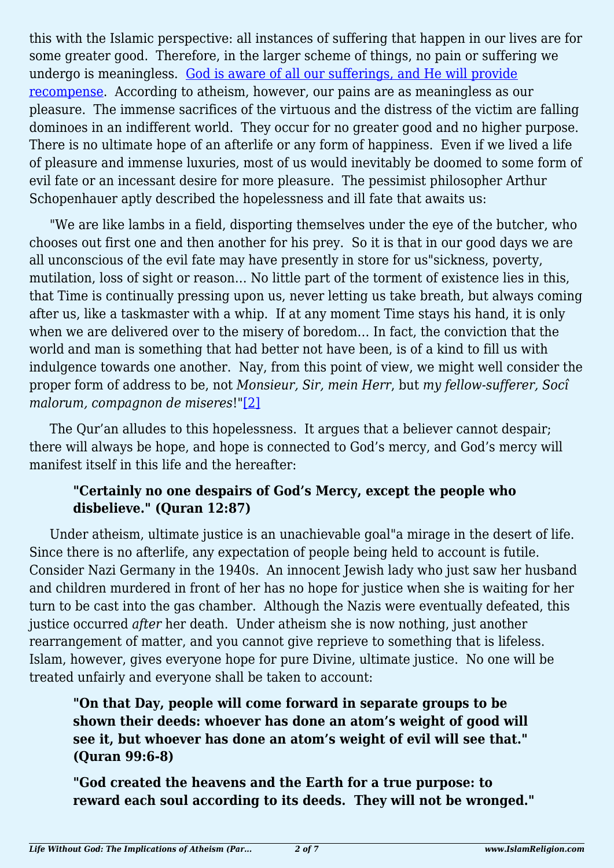this with the Islamic perspective: all instances of suffering that happen in our lives are for some greater good. Therefore, in the larger scheme of things, no pain or suffering we undergo is meaningless. [God is aware of all our sufferings, and He will provide](http://www.hamzatzortzis.com/is-god-merciful-islams-response-to-evil-suffering/) [recompense](http://www.hamzatzortzis.com/is-god-merciful-islams-response-to-evil-suffering/). According to atheism, however, our pains are as meaningless as our pleasure. The immense sacrifices of the virtuous and the distress of the victim are falling dominoes in an indifferent world. They occur for no greater good and no higher purpose. There is no ultimate hope of an afterlife or any form of happiness. Even if we lived a life of pleasure and immense luxuries, most of us would inevitably be doomed to some form of evil fate or an incessant desire for more pleasure. The pessimist philosopher Arthur Schopenhauer aptly described the hopelessness and ill fate that awaits us:

"We are like lambs in a field, disporting themselves under the eye of the butcher, who chooses out first one and then another for his prey. So it is that in our good days we are all unconscious of the evil fate may have presently in store for us"sickness, poverty, mutilation, loss of sight or reason… No little part of the torment of existence lies in this, that Time is continually pressing upon us, never letting us take breath, but always coming after us, like a taskmaster with a whip. If at any moment Time stays his hand, it is only when we are delivered over to the misery of boredom… In fact, the conviction that the world and man is something that had better not have been, is of a kind to fill us with indulgence towards one another. Nay, from this point of view, we might well consider the proper form of address to be, not *Monsieur, Sir, mein Herr*, but *my fellow-sufferer, Socî malorum, compagnon de miseres*!"[\[2\]](#page-2-1)

<span id="page-1-0"></span>The Qur'an alludes to this hopelessness. It argues that a believer cannot despair; there will always be hope, and hope is connected to God's mercy, and God's mercy will manifest itself in this life and the hereafter:

#### **"Certainly no one despairs of God's Mercy, except the people who disbelieve." (Quran 12:87)**

Under atheism, ultimate justice is an unachievable goal"a mirage in the desert of life. Since there is no afterlife, any expectation of people being held to account is futile. Consider Nazi Germany in the 1940s. An innocent Jewish lady who just saw her husband and children murdered in front of her has no hope for justice when she is waiting for her turn to be cast into the gas chamber. Although the Nazis were eventually defeated, this justice occurred *after* her death. Under atheism she is now nothing, just another rearrangement of matter, and you cannot give reprieve to something that is lifeless. Islam, however, gives everyone hope for pure Divine, ultimate justice. No one will be treated unfairly and everyone shall be taken to account:

**"On that Day, people will come forward in separate groups to be shown their deeds: whoever has done an atom's weight of good will see it, but whoever has done an atom's weight of evil will see that." (Quran 99:6-8)**

**"God created the heavens and the Earth for a true purpose: to reward each soul according to its deeds. They will not be wronged."**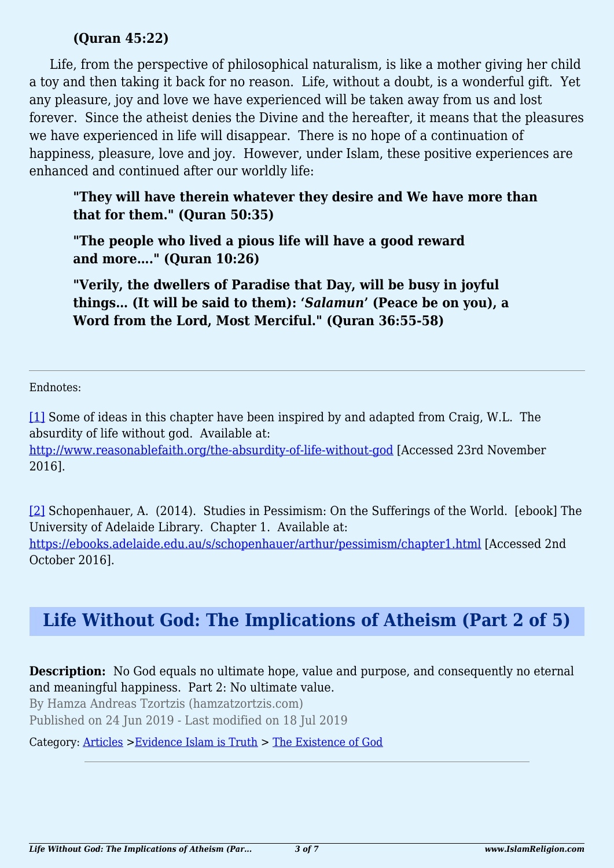#### **(Quran 45:22)**

Life, from the perspective of philosophical naturalism, is like a mother giving her child a toy and then taking it back for no reason. Life, without a doubt, is a wonderful gift. Yet any pleasure, joy and love we have experienced will be taken away from us and lost forever. Since the atheist denies the Divine and the hereafter, it means that the pleasures we have experienced in life will disappear. There is no hope of a continuation of happiness, pleasure, love and joy. However, under Islam, these positive experiences are enhanced and continued after our worldly life:

**"They will have therein whatever they desire and We have more than that for them." (Quran 50:35)**

**"The people who lived a pious life will have a good reward and more…." (Quran 10:26)**

**"Verily, the dwellers of Paradise that Day, will be busy in joyful things… (It will be said to them): '***Salamun***' (Peace be on you), a Word from the Lord, Most Merciful." (Quran 36:55-58)**

<span id="page-2-0"></span>Endnotes:

[\[1\]](#page-0-0) Some of ideas in this chapter have been inspired by and adapted from Craig, W.L. The absurdity of life without god. Available at: <http://www.reasonablefaith.org/the-absurdity-of-life-without-god>[Accessed 23rd November 2016].

<span id="page-2-1"></span>[\[2\]](#page-1-0) Schopenhauer, A. (2014). Studies in Pessimism: On the Sufferings of the World. [ebook] The University of Adelaide Library. Chapter 1. Available at: <https://ebooks.adelaide.edu.au/s/schopenhauer/arthur/pessimism/chapter1.html>[Accessed 2nd October 2016].

## **Life Without God: The Implications of Atheism (Part 2 of 5)**

**Description:** No God equals no ultimate hope, value and purpose, and consequently no eternal and meaningful happiness. Part 2: No ultimate value.

By Hamza Andreas Tzortzis (hamzatzortzis.com)

Published on 24 Jun 2019 - Last modified on 18 Jul 2019

Category: [Articles](http://www.islamreligion.com/articles/) >[Evidence Islam is Truth](http://www.islamreligion.com/category/33/) > [The Existence of God](http://www.islamreligion.com/category/39/)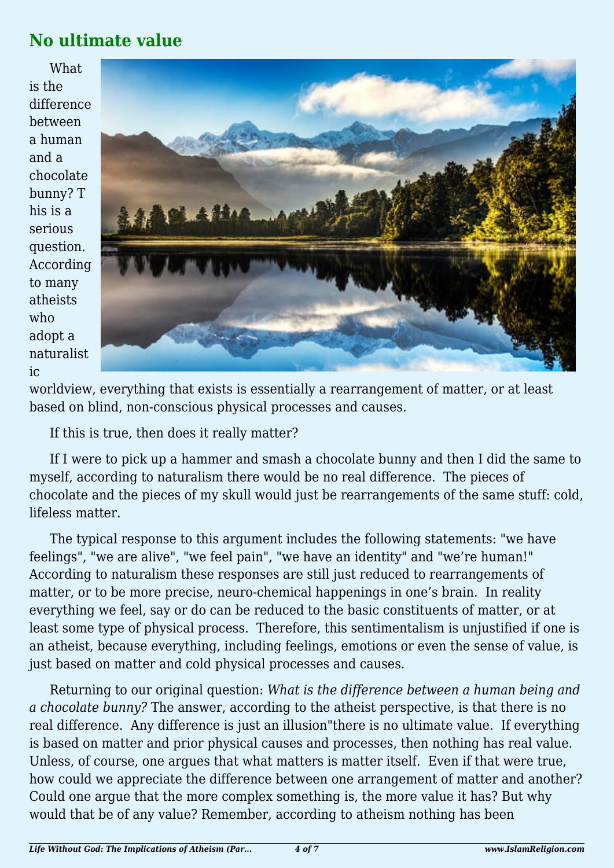## **No ultimate value**

What is the difference between a human and a chocolate bunny? T his is a serious question. According to many atheists who adopt a naturalist ic



worldview, everything that exists is essentially a rearrangement of matter, or at least based on blind, non-conscious physical processes and causes.

If this is true, then does it really matter?

If I were to pick up a hammer and smash a chocolate bunny and then I did the same to myself, according to naturalism there would be no real difference. The pieces of chocolate and the pieces of my skull would just be rearrangements of the same stuff: cold, lifeless matter.

The typical response to this argument includes the following statements: "we have feelings", "we are alive", "we feel pain", "we have an identity" and "we're human!" According to naturalism these responses are still just reduced to rearrangements of matter, or to be more precise, neuro-chemical happenings in one's brain. In reality everything we feel, say or do can be reduced to the basic constituents of matter, or at least some type of physical process. Therefore, this sentimentalism is unjustified if one is an atheist, because everything, including feelings, emotions or even the sense of value, is just based on matter and cold physical processes and causes.

Returning to our original question: *What is the difference between a human being and a chocolate bunny?* The answer, according to the atheist perspective, is that there is no real difference. Any difference is just an illusion"there is no ultimate value. If everything is based on matter and prior physical causes and processes, then nothing has real value. Unless, of course, one argues that what matters is matter itself. Even if that were true, how could we appreciate the difference between one arrangement of matter and another? Could one argue that the more complex something is, the more value it has? But why would that be of any value? Remember, according to atheism nothing has been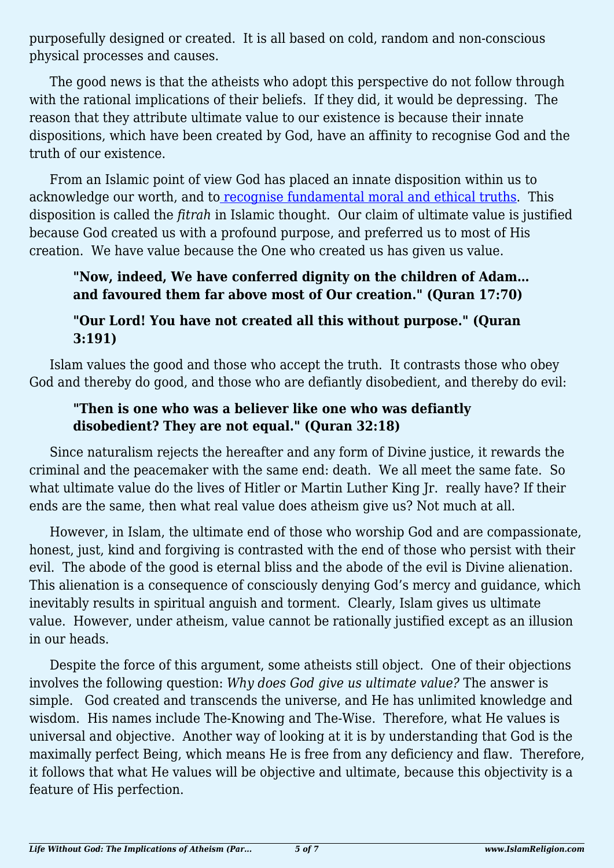purposefully designed or created. It is all based on cold, random and non-conscious physical processes and causes.

The good news is that the atheists who adopt this perspective do not follow through with the rational implications of their beliefs. If they did, it would be depressing. The reason that they attribute ultimate value to our existence is because their innate dispositions, which have been created by God, have an affinity to recognise God and the truth of our existence.

From an Islamic point of view God has placed an innate disposition within us to acknowledge our worth, and t[o recognise fundamental moral and ethical truths](http://www.hamzatzortzis.com/know-god-know-good-god-objective-morality/). This disposition is called the *fitrah* in Islamic thought. Our claim of ultimate value is justified because God created us with a profound purpose, and preferred us to most of His creation. We have value because the One who created us has given us value.

#### **"Now, indeed, We have conferred dignity on the children of Adam… and favoured them far above most of Our creation." (Quran 17:70)**

#### **"Our Lord! You have not created all this without purpose." (Quran 3:191)**

Islam values the good and those who accept the truth. It contrasts those who obey God and thereby do good, and those who are defiantly disobedient, and thereby do evil:

#### **"Then is one who was a believer like one who was defiantly disobedient? They are not equal." (Quran 32:18)**

Since naturalism rejects the hereafter and any form of Divine justice, it rewards the criminal and the peacemaker with the same end: death. We all meet the same fate. So what ultimate value do the lives of Hitler or Martin Luther King Jr. really have? If their ends are the same, then what real value does atheism give us? Not much at all.

However, in Islam, the ultimate end of those who worship God and are compassionate, honest, just, kind and forgiving is contrasted with the end of those who persist with their evil. The abode of the good is eternal bliss and the abode of the evil is Divine alienation. This alienation is a consequence of consciously denying God's mercy and guidance, which inevitably results in spiritual anguish and torment. Clearly, Islam gives us ultimate value. However, under atheism, value cannot be rationally justified except as an illusion in our heads.

Despite the force of this argument, some atheists still object. One of their objections involves the following question: *Why does God give us ultimate value?* The answer is simple. God created and transcends the universe, and He has unlimited knowledge and wisdom. His names include The-Knowing and The-Wise. Therefore, what He values is universal and objective. Another way of looking at it is by understanding that God is the maximally perfect Being, which means He is free from any deficiency and flaw. Therefore, it follows that what He values will be objective and ultimate, because this objectivity is a feature of His perfection.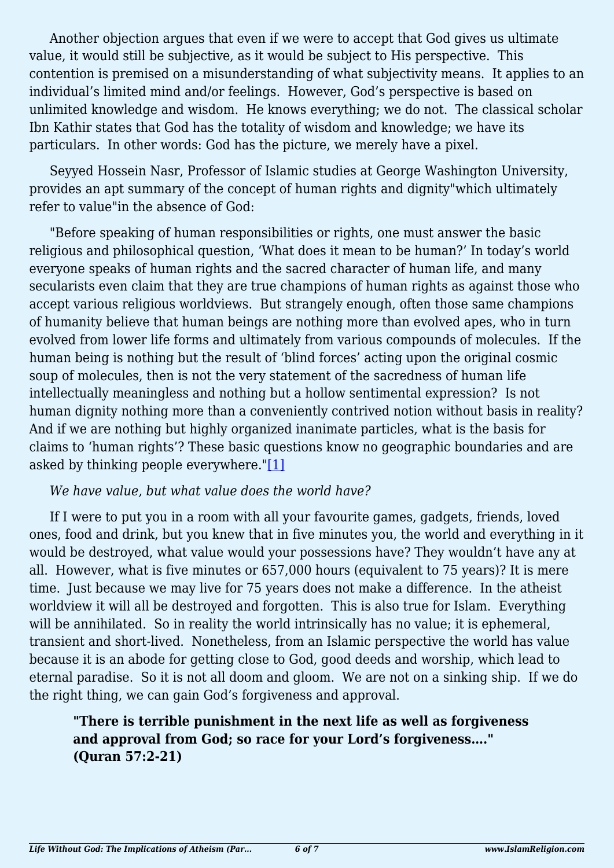Another objection argues that even if we were to accept that God gives us ultimate value, it would still be subjective, as it would be subject to His perspective. This contention is premised on a misunderstanding of what subjectivity means. It applies to an individual's limited mind and/or feelings. However, God's perspective is based on unlimited knowledge and wisdom. He knows everything; we do not. The classical scholar Ibn Kathir states that God has the totality of wisdom and knowledge; we have its particulars. In other words: God has the picture, we merely have a pixel.

Seyyed Hossein Nasr, Professor of Islamic studies at George Washington University, provides an apt summary of the concept of human rights and dignity"which ultimately refer to value"in the absence of God:

"Before speaking of human responsibilities or rights, one must answer the basic religious and philosophical question, 'What does it mean to be human?' In today's world everyone speaks of human rights and the sacred character of human life, and many secularists even claim that they are true champions of human rights as against those who accept various religious worldviews. But strangely enough, often those same champions of humanity believe that human beings are nothing more than evolved apes, who in turn evolved from lower life forms and ultimately from various compounds of molecules. If the human being is nothing but the result of 'blind forces' acting upon the original cosmic soup of molecules, then is not the very statement of the sacredness of human life intellectually meaningless and nothing but a hollow sentimental expression? Is not human dignity nothing more than a conveniently contrived notion without basis in reality? And if we are nothing but highly organized inanimate particles, what is the basis for claims to 'human rights'? These basic questions know no geographic boundaries and are asked by thinking people everywhere.["\[1\]](#page-6-0)

#### <span id="page-5-0"></span>*We have value, but what value does the world have?*

If I were to put you in a room with all your favourite games, gadgets, friends, loved ones, food and drink, but you knew that in five minutes you, the world and everything in it would be destroyed, what value would your possessions have? They wouldn't have any at all. However, what is five minutes or 657,000 hours (equivalent to 75 years)? It is mere time. Just because we may live for 75 years does not make a difference. In the atheist worldview it will all be destroyed and forgotten. This is also true for Islam. Everything will be annihilated. So in reality the world intrinsically has no value; it is ephemeral, transient and short-lived. Nonetheless, from an Islamic perspective the world has value because it is an abode for getting close to God, good deeds and worship, which lead to eternal paradise. So it is not all doom and gloom. We are not on a sinking ship. If we do the right thing, we can gain God's forgiveness and approval.

#### **"There is terrible punishment in the next life as well as forgiveness and approval from God; so race for your Lord's forgiveness…." (Quran 57:2-21)**